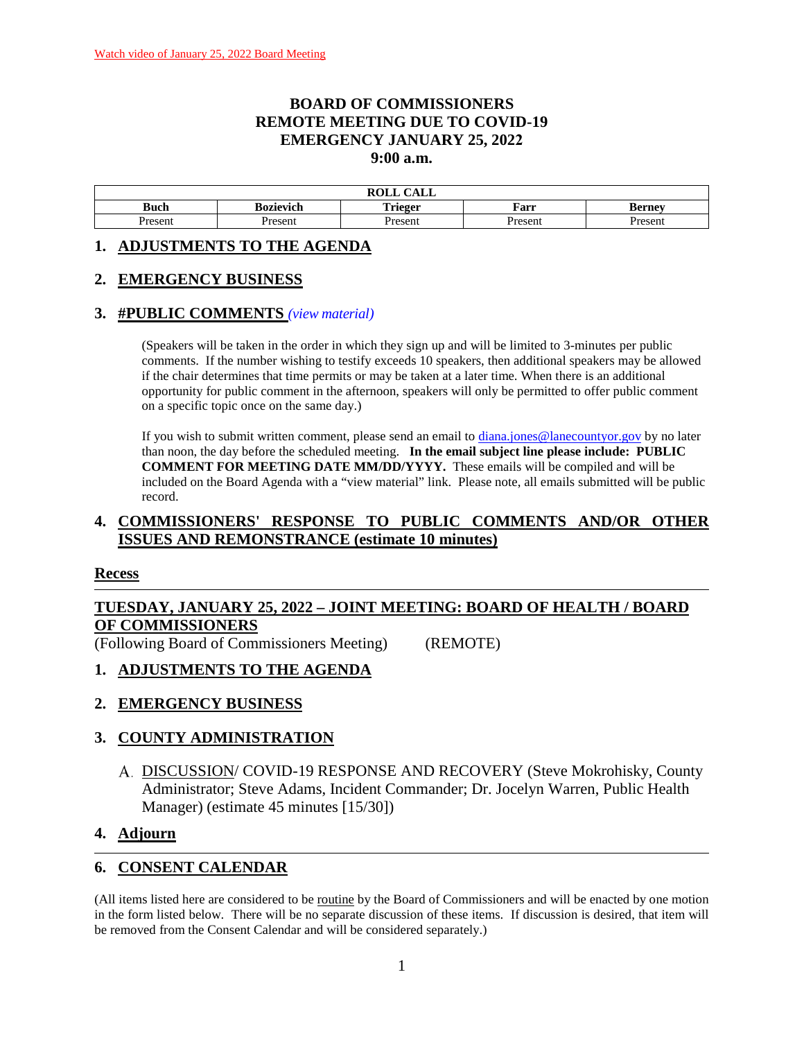#### **BOARD OF COMMISSIONERS REMOTE MEETING DUE TO COVID-19 EMERGENCY JANUARY 25, 2022 9:00 a.m.**

| $\sqrt{1 + \pi}$<br><b>ROLL</b><br>САЫЛ |                  |                         |         |               |  |
|-----------------------------------------|------------------|-------------------------|---------|---------------|--|
| Buch                                    | <b>Bozievich</b> | $\mathbf{r}$<br>`rieger | Farr    | <b>Berney</b> |  |
| Present                                 | Present          | Present                 | Present | resent        |  |

#### **1. ADJUSTMENTS TO THE AGENDA**

#### **2. EMERGENCY BUSINESS**

#### **3. #PUBLIC COMMENTS** *(view [material\)](http://www.lanecountyor.gov/UserFiles/Servers/Server_3585797/File/Government/BCC/2022/2022_AGENDAS/012522agenda/T.3.pdf)*

(Speakers will be taken in the order in which they sign up and will be limited to 3-minutes per public comments. If the number wishing to testify exceeds 10 speakers, then additional speakers may be allowed if the chair determines that time permits or may be taken at a later time. When there is an additional opportunity for public comment in the afternoon, speakers will only be permitted to offer public comment on a specific topic once on the same day.)

If you wish to submit written comment, please send an email to [diana.jones@lanecountyor.gov](mailto:diana.jones@lanecountyor.gov) by no later than noon, the day before the scheduled meeting. **In the email subject line please include: PUBLIC COMMENT FOR MEETING DATE MM/DD/YYYY.** These emails will be compiled and will be included on the Board Agenda with a "view material" link. Please note, all emails submitted will be public record.

### **4. COMMISSIONERS' RESPONSE TO PUBLIC COMMENTS AND/OR OTHER ISSUES AND REMONSTRANCE (estimate 10 minutes)**

#### **Recess**

# **TUESDAY, JANUARY 25, 2022 – JOINT MEETING: BOARD OF HEALTH / BOARD OF COMMISSIONERS**

(Following Board of Commissioners Meeting) (REMOTE)

#### **1. ADJUSTMENTS TO THE AGENDA**

#### **2. EMERGENCY BUSINESS**

#### **3. COUNTY ADMINISTRATION**

DISCUSSION/ COVID-19 RESPONSE AND RECOVERY (Steve Mokrohisky, County Administrator; Steve Adams, Incident Commander; Dr. Jocelyn Warren, Public Health Manager) (estimate 45 minutes [15/30])

#### **4. Adjourn**

#### **6. CONSENT CALENDAR**

(All items listed here are considered to be routine by the Board of Commissioners and will be enacted by one motion in the form listed below. There will be no separate discussion of these items. If discussion is desired, that item will be removed from the Consent Calendar and will be considered separately.)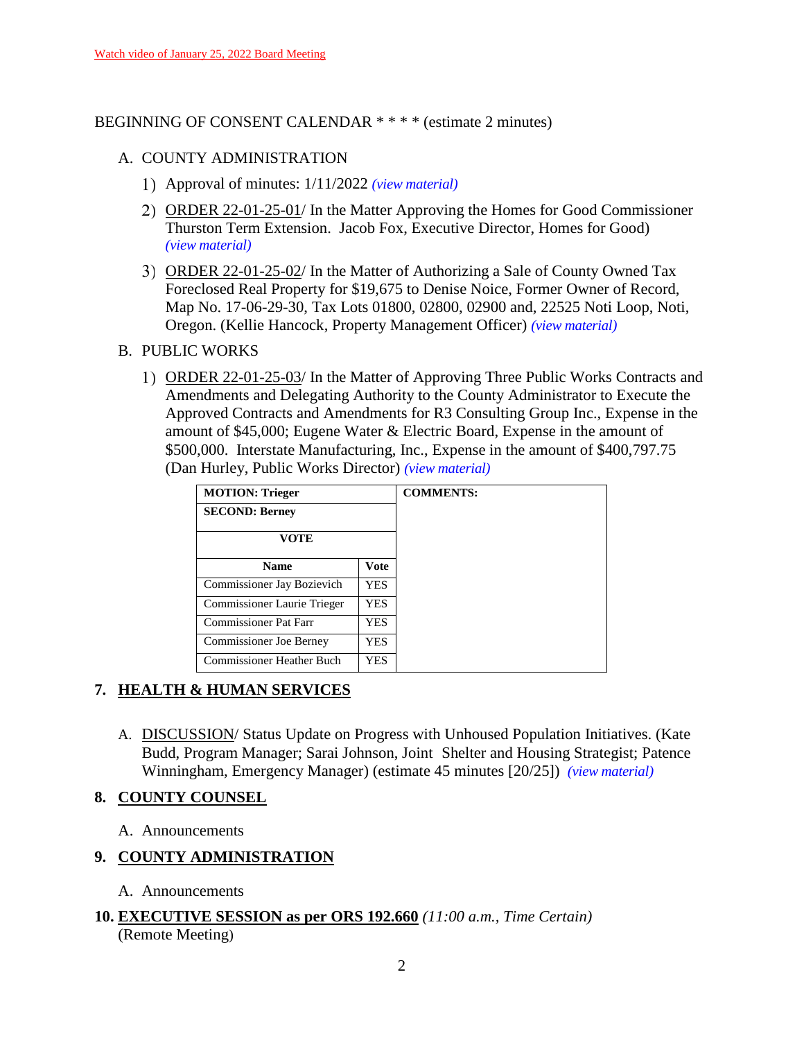#### BEGINNING OF CONSENT CALENDAR \* \* \* \* (estimate 2 minutes)

#### A. COUNTY ADMINISTRATION

- Approval of minutes: 1/11/2022 *(view [material\)](http://www.lanecountyor.gov/UserFiles/Servers/Server_3585797/File/Government/BCC/2022/2022_AGENDAS/012522agenda/T.6.A.1.pdf)*
- ORDER 22-01-25-01/ In the Matter Approving the Homes for Good Commissioner Thurston Term Extension. Jacob Fox, Executive Director, Homes for Good) *(view [material\)](http://www.lanecountyor.gov/UserFiles/Servers/Server_3585797/File/Government/BCC/2022/2022_AGENDAS/012522agenda/T.6.A.2.pdf)*
- ORDER 22-01-25-02/ In the Matter of Authorizing a Sale of County Owned Tax Foreclosed Real Property for \$19,675 to Denise Noice, Former Owner of Record, Map No. 17-06-29-30, Tax Lots 01800, 02800, 02900 and, 22525 Noti Loop, Noti, Oregon. (Kellie Hancock, Property Management Officer) *(view [material\)](http://www.lanecountyor.gov/UserFiles/Servers/Server_3585797/File/Government/BCC/2022/2022_AGENDAS/012522agenda/T.6.A.3.pdf)*
- B. PUBLIC WORKS
	- ORDER 22-01-25-03/ In the Matter of Approving Three Public Works Contracts and Amendments and Delegating Authority to the County Administrator to Execute the Approved Contracts and Amendments for R3 Consulting Group Inc., Expense in the amount of \$45,000; Eugene Water & Electric Board, Expense in the amount of \$500,000. Interstate Manufacturing, Inc., Expense in the amount of \$400,797.75 (Dan Hurley, Public Works Director) *(view [material\)](http://www.lanecountyor.gov/UserFiles/Servers/Server_3585797/File/Government/BCC/2022/2022_AGENDAS/012522agenda/T.6.B.1.pdf)*

| <b>MOTION: Trieger</b>         |             | <b>COMMENTS:</b> |
|--------------------------------|-------------|------------------|
| <b>SECOND: Berney</b>          |             |                  |
| VOTE                           |             |                  |
| <b>Name</b>                    | <b>Vote</b> |                  |
| Commissioner Jay Bozievich     | <b>YES</b>  |                  |
| Commissioner Laurie Trieger    | YES         |                  |
| Commissioner Pat Farr          | YES         |                  |
| <b>Commissioner Joe Berney</b> | YES         |                  |
| Commissioner Heather Buch      | YES         |                  |

### **7. HEALTH & HUMAN SERVICES**

A. DISCUSSION/ Status Update on Progress with Unhoused Population Initiatives. (Kate Budd, Program Manager; Sarai Johnson, Joint Shelter and Housing Strategist; Patence Winningham, Emergency Manager) (estimate 45 minutes [20/25]) *(view [material\)](http://www.lanecountyor.gov/UserFiles/Servers/Server_3585797/File/Government/BCC/2022/2022_AGENDAS/012522agenda/T.7.A.pdf)*

### **8. COUNTY COUNSEL**

A. Announcements

### **9. COUNTY ADMINISTRATION**

- A. Announcements
- **10. EXECUTIVE SESSION as per ORS 192.660** *(11:00 a.m., Time Certain)* (Remote Meeting)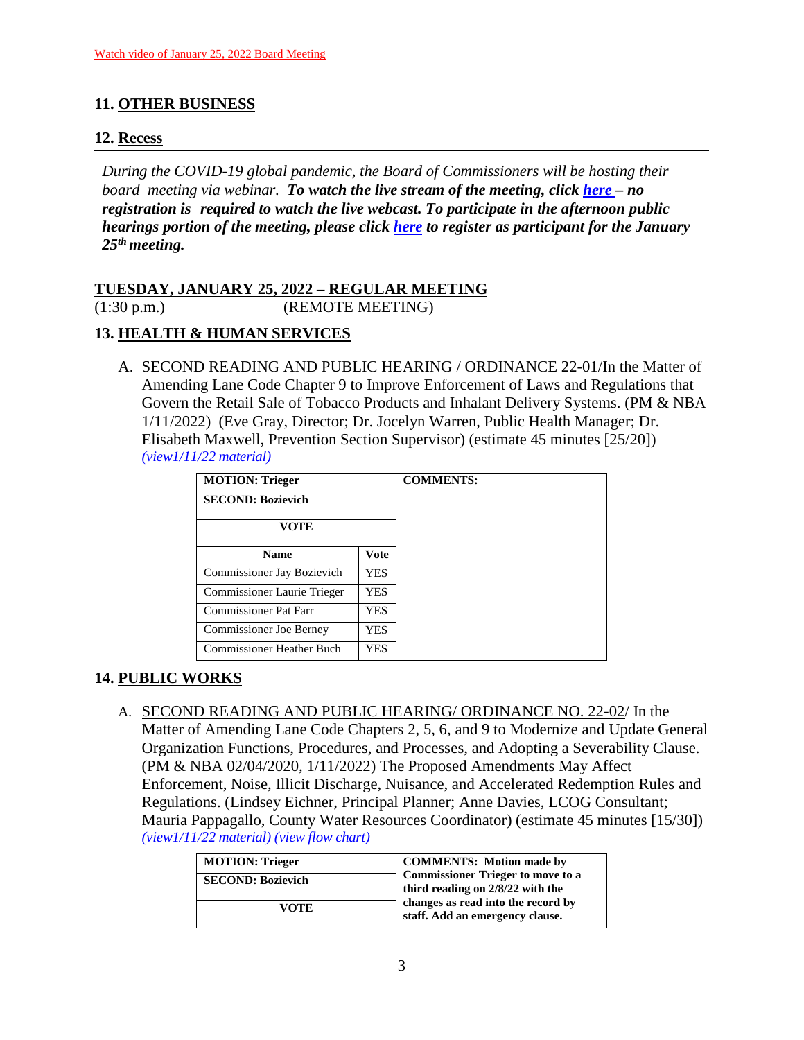## **11. OTHER BUSINESS**

### **12. Recess**

*During the COVID-19 global pandemic, the Board of Commissioners will be hosting their board meeting via webinar. To watch the live stream of the meeting, click [here](https://lanecounty.org/cms/One.aspx?portalId=3585881&pageId=7842434) – no registration is required to watch the live webcast. To participate in the afternoon public hearings portion of the meeting, please click [here](https://us06web.zoom.us/webinar/register/WN_yao9Yzj9RVOgAXY-rghm-w) to register as participant for the January 25th meeting.*

## **TUESDAY, JANUARY 25, 2022 – REGULAR MEETING** (1:30 p.m.) (REMOTE MEETING)

# **13. HEALTH & HUMAN SERVICES**

A. SECOND READING AND PUBLIC HEARING / ORDINANCE 22-01/In the Matter of Amending Lane Code Chapter 9 to Improve Enforcement of Laws and Regulations that Govern the Retail Sale of Tobacco Products and Inhalant Delivery Systems. (PM & NBA 1/11/2022) (Eve Gray, Director; Dr. Jocelyn Warren, Public Health Manager; Dr. Elisabeth Maxwell, Prevention Section Supervisor) (estimate 45 minutes [25/20]) *[\(view1/11/22](http://www.lanecountyor.gov/UserFiles/Servers/Server_3585797/File/Government/BCC/2022/2022_AGENDAS/011122agenda/T.7.A.pdf) material)*

| <b>MOTION: Trieger</b>           |      | <b>COMMENTS:</b> |
|----------------------------------|------|------------------|
| <b>SECOND: Bozievich</b>         |      |                  |
| <b>VOTE</b>                      |      |                  |
| <b>Name</b>                      | Vote |                  |
| Commissioner Jay Bozievich       | YES. |                  |
| Commissioner Laurie Trieger      | YES  |                  |
| <b>Commissioner Pat Farr</b>     | YES  |                  |
| Commissioner Joe Berney          | YES  |                  |
| <b>Commissioner Heather Buch</b> | YES  |                  |

# **14. PUBLIC WORKS**

A. SECOND READING AND PUBLIC HEARING/ ORDINANCE NO. 22-02/ In the Matter of Amending Lane Code Chapters 2, 5, 6, and 9 to Modernize and Update General Organization Functions, Procedures, and Processes, and Adopting a Severability Clause. (PM & NBA 02/04/2020, 1/11/2022) The Proposed Amendments May Affect Enforcement, Noise, Illicit Discharge, Nuisance, and Accelerated Redemption Rules and Regulations. (Lindsey Eichner, Principal Planner; Anne Davies, LCOG Consultant; Mauria Pappagallo, County Water Resources Coordinator) (estimate 45 minutes [15/30]) *[\(view1/11/22](http://www.lanecountyor.gov/UserFiles/Servers/Server_3585797/File/Government/BCC/2022/2022_AGENDAS/011122agenda/T.12.A.pdf) material) (view [flow chart\)](http://www.lanecountyor.gov/UserFiles/Servers/Server_3585797/File/Government/BCC/2022/2022_AGENDAS/012522agenda/T.14.A.pdf)*

| <b>MOTION: Trieger</b>   | <b>COMMENTS:</b> Motion made by                                              |
|--------------------------|------------------------------------------------------------------------------|
| <b>SECOND: Bozievich</b> | <b>Commissioner Trieger to move to a</b><br>third reading on 2/8/22 with the |
| VOTE                     | changes as read into the record by<br>staff. Add an emergency clause.        |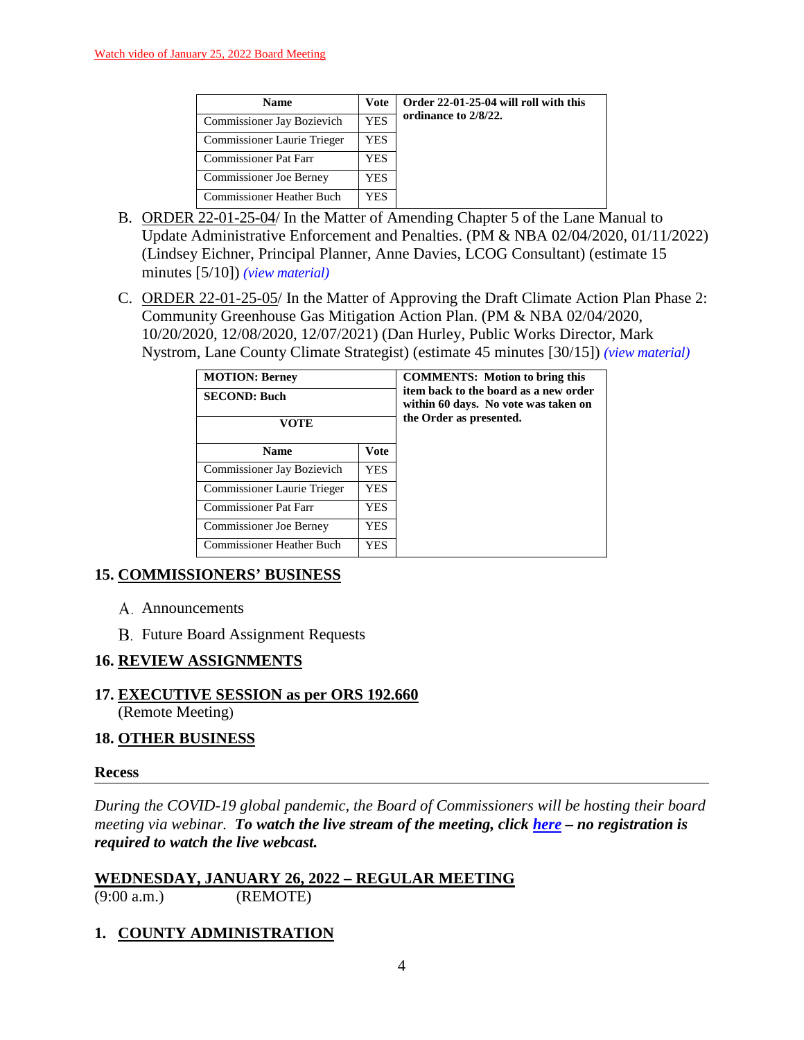| <b>Name</b>                      | <b>Vote</b> | Order 22-01-25-04 will roll with this |
|----------------------------------|-------------|---------------------------------------|
| Commissioner Jay Bozievich       | <b>YES</b>  | ordinance to 2/8/22.                  |
| Commissioner Laurie Trieger      | YES         |                                       |
| <b>Commissioner Pat Farr</b>     | YES         |                                       |
| <b>Commissioner Joe Berney</b>   | YES.        |                                       |
| <b>Commissioner Heather Buch</b> | YES.        |                                       |

- B. ORDER 22-01-25-04/ In the Matter of Amending Chapter 5 of the Lane Manual to Update Administrative Enforcement and Penalties. (PM & NBA 02/04/2020, 01/11/2022) (Lindsey Eichner, Principal Planner, Anne Davies, LCOG Consultant) (estimate 15 minutes [5/10]) *(view [material\)](http://www.lanecountyor.gov/UserFiles/Servers/Server_3585797/File/Government/BCC/2022/2022_AGENDAS/012522agenda/T.14.B.pdf)*
- C. ORDER 22-01-25-05/ In the Matter of Approving the Draft Climate Action Plan Phase 2: Community Greenhouse Gas Mitigation Action Plan. (PM & NBA 02/04/2020, 10/20/2020, 12/08/2020, 12/07/2021) (Dan Hurley, Public Works Director, Mark Nystrom, Lane County Climate Strategist) (estimate 45 minutes [30/15]) *(view [material\)](http://www.lanecountyor.gov/UserFiles/Servers/Server_3585797/File/Government/BCC/2022/2022_AGENDAS/012522agenda/T.14.C.pdf)*

| <b>MOTION: Berney</b>                   |             | <b>COMMENTS:</b> Motion to bring this<br>item back to the board as a new order<br>within 60 days. No vote was taken on<br>the Order as presented. |
|-----------------------------------------|-------------|---------------------------------------------------------------------------------------------------------------------------------------------------|
| <b>SECOND: Buch</b>                     |             |                                                                                                                                                   |
| VOTE                                    |             |                                                                                                                                                   |
| <b>Name</b>                             | <b>Vote</b> |                                                                                                                                                   |
| Commissioner Jay Bozievich              | YES.        |                                                                                                                                                   |
| Commissioner Laurie Trieger             | YES.        |                                                                                                                                                   |
| <b>Commissioner Pat Farr</b>            | <b>YES</b>  |                                                                                                                                                   |
| <b>Commissioner Joe Berney</b>          | YES.        |                                                                                                                                                   |
| <b>Commissioner Heather Buch</b><br>YES |             |                                                                                                                                                   |

### **15. COMMISSIONERS' BUSINESS**

- A. Announcements
- **B.** Future Board Assignment Requests

### **16. REVIEW ASSIGNMENTS**

**17. EXECUTIVE SESSION as per ORS 192.660** (Remote Meeting)

### **18. OTHER BUSINESS**

#### **Recess**

*During the COVID-19 global pandemic, the Board of Commissioners will be hosting their board meeting via webinar. To watch the live stream of the meeting, click [here](https://lanecounty.org/cms/One.aspx?portalId=3585881&pageId=7842434) – no registration is required to watch the live webcast.* 

**WEDNESDAY, JANUARY 26, 2022 – REGULAR MEETING** (9:00 a.m.) (REMOTE)

### **1. COUNTY ADMINISTRATION**